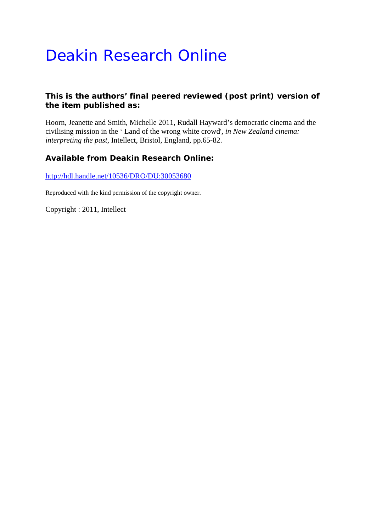# Deakin Research Online

## **This is the authors' final peered reviewed (post print) version of the item published as:**

Hoorn, Jeanette and Smith, Michelle 2011, Rudall Hayward's democratic cinema and the civilising mission in the ' Land of the wrong white crowd'*, in New Zealand cinema: interpreting the past*, Intellect, Bristol, England, pp.65-82.

### **Available from Deakin Research Online:**

http://hdl.handle.net/10536/DRO/DU:30053680

Reproduced with the kind permission of the copyright owner.

Copyright : 2011, Intellect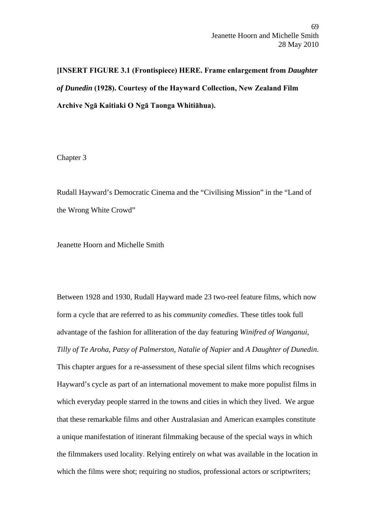**[INSERT FIGURE 3.1 (Frontispiece) HERE. Frame enlargement from** *Daughter of Dunedin* **(1928). Courtesy of the Hayward Collection, New Zealand Film Archive Ngā Kaitiaki O Ngā Taonga Whitiāhua).** 

Chapter 3

Rudall Hayward's Democratic Cinema and the "Civilising Mission" in the "Land of the Wrong White Crowd"

Jeanette Hoorn and Michelle Smith

Between 1928 and 1930, Rudall Hayward made 23 two-reel feature films, which now form a cycle that are referred to as his *community comedies*. These titles took full advantage of the fashion for alliteration of the day featuring *Winifred of Wanganui*, *Tilly of Te Aroha*, *Patsy of Palmerston*, *Natalie of Napier* and *A Daughter of Dunedin*. This chapter argues for a re-assessment of these special silent films which recognises Hayward's cycle as part of an international movement to make more populist films in which everyday people starred in the towns and cities in which they lived. We argue that these remarkable films and other Australasian and American examples constitute a unique manifestation of itinerant filmmaking because of the special ways in which the filmmakers used locality. Relying entirely on what was available in the location in which the films were shot; requiring no studios, professional actors or scriptwriters;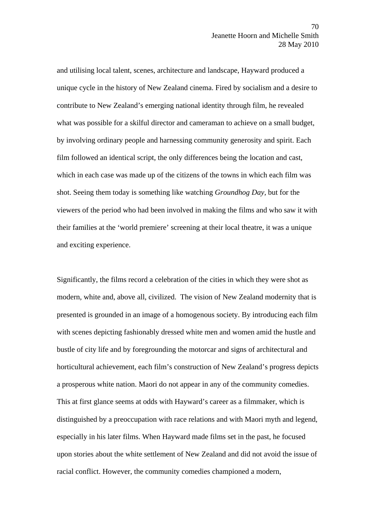and utilising local talent, scenes, architecture and landscape, Hayward produced a unique cycle in the history of New Zealand cinema. Fired by socialism and a desire to contribute to New Zealand's emerging national identity through film, he revealed what was possible for a skilful director and cameraman to achieve on a small budget, by involving ordinary people and harnessing community generosity and spirit. Each film followed an identical script, the only differences being the location and cast, which in each case was made up of the citizens of the towns in which each film was shot. Seeing them today is something like watching *Groundhog Day,* but for the viewers of the period who had been involved in making the films and who saw it with their families at the 'world premiere' screening at their local theatre, it was a unique and exciting experience.

Significantly, the films record a celebration of the cities in which they were shot as modern, white and, above all, civilized. The vision of New Zealand modernity that is presented is grounded in an image of a homogenous society. By introducing each film with scenes depicting fashionably dressed white men and women amid the hustle and bustle of city life and by foregrounding the motorcar and signs of architectural and horticultural achievement, each film's construction of New Zealand's progress depicts a prosperous white nation. Maori do not appear in any of the community comedies. This at first glance seems at odds with Hayward's career as a filmmaker, which is distinguished by a preoccupation with race relations and with Maori myth and legend, especially in his later films. When Hayward made films set in the past, he focused upon stories about the white settlement of New Zealand and did not avoid the issue of racial conflict. However, the community comedies championed a modern,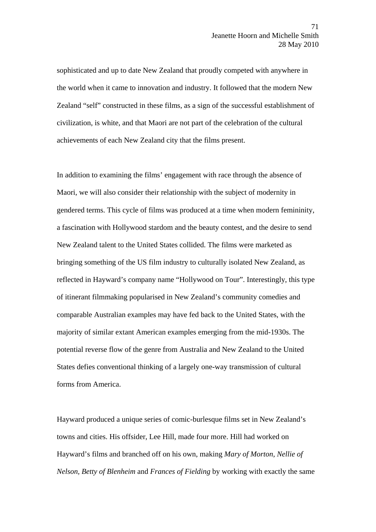sophisticated and up to date New Zealand that proudly competed with anywhere in the world when it came to innovation and industry. It followed that the modern New Zealand "self" constructed in these films, as a sign of the successful establishment of civilization, is white, and that Maori are not part of the celebration of the cultural achievements of each New Zealand city that the films present.

In addition to examining the films' engagement with race through the absence of Maori, we will also consider their relationship with the subject of modernity in gendered terms. This cycle of films was produced at a time when modern femininity, a fascination with Hollywood stardom and the beauty contest, and the desire to send New Zealand talent to the United States collided. The films were marketed as bringing something of the US film industry to culturally isolated New Zealand, as reflected in Hayward's company name "Hollywood on Tour". Interestingly, this type of itinerant filmmaking popularised in New Zealand's community comedies and comparable Australian examples may have fed back to the United States, with the majority of similar extant American examples emerging from the mid-1930s. The potential reverse flow of the genre from Australia and New Zealand to the United States defies conventional thinking of a largely one-way transmission of cultural forms from America.

Hayward produced a unique series of comic-burlesque films set in New Zealand's towns and cities. His offsider, Lee Hill, made four more. Hill had worked on Hayward's films and branched off on his own, making *Mary of Morton*, *Nellie of Nelson, Betty of Blenheim* and *Frances of Fielding* by working with exactly the same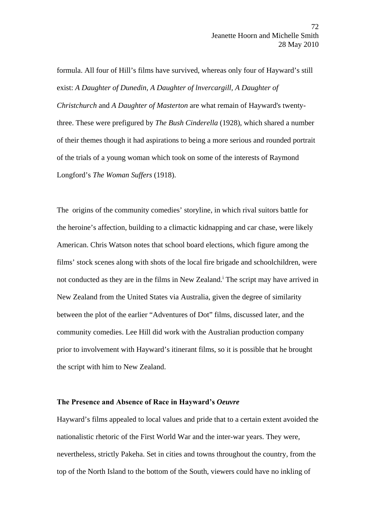formula. All four of Hill's films have survived, whereas only four of Hayward's still exist: *A Daughter of Dunedin, A Daughter of lnvercargill, A Daughter of Christchurch* and *A Daughter of Masterton* are what remain of Hayward's twentythree. These were prefigured by *The Bush Cinderella* (1928), which shared a number of their themes though it had aspirations to being a more serious and rounded portrait of the trials of a young woman which took on some of the interests of Raymond Longford's *The Woman Suffers* (1918).

The origins of the community comedies' storyline, in which rival suitors battle for the heroine's affection, building to a climactic kidnapping and car chase, were likely American. Chris Watson notes that school board elections, which figure among the films' stock scenes along with shots of the local fire brigade and schoolchildren, were not conducted as they are in the films in New Zealand.<sup>i</sup> The script may have arrived in New Zealand from the United States via Australia, given the degree of similarity between the plot of the earlier "Adventures of Dot" films, discussed later, and the community comedies. Lee Hill did work with the Australian production company prior to involvement with Hayward's itinerant films, so it is possible that he brought the script with him to New Zealand.

#### **The Presence and Absence of Race in Hayward's** *Oeuvre*

Hayward's films appealed to local values and pride that to a certain extent avoided the nationalistic rhetoric of the First World War and the inter-war years. They were, nevertheless, strictly Pakeha. Set in cities and towns throughout the country, from the top of the North Island to the bottom of the South, viewers could have no inkling of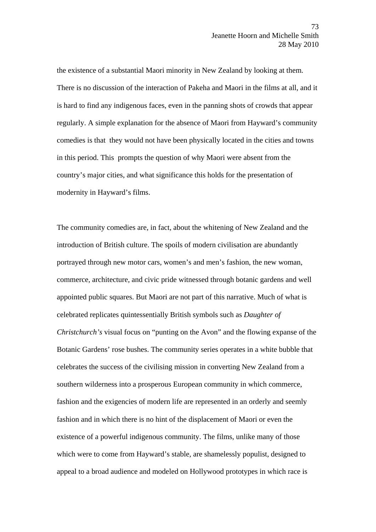the existence of a substantial Maori minority in New Zealand by looking at them. There is no discussion of the interaction of Pakeha and Maori in the films at all, and it is hard to find any indigenous faces, even in the panning shots of crowds that appear regularly. A simple explanation for the absence of Maori from Hayward's community comedies is that they would not have been physically located in the cities and towns in this period. This prompts the question of why Maori were absent from the country's major cities, and what significance this holds for the presentation of modernity in Hayward's films.

The community comedies are, in fact, about the whitening of New Zealand and the introduction of British culture. The spoils of modern civilisation are abundantly portrayed through new motor cars, women's and men's fashion, the new woman, commerce, architecture, and civic pride witnessed through botanic gardens and well appointed public squares. But Maori are not part of this narrative. Much of what is celebrated replicates quintessentially British symbols such as *Daughter of Christchurch's* visual focus on "punting on the Avon" and the flowing expanse of the Botanic Gardens' rose bushes. The community series operates in a white bubble that celebrates the success of the civilising mission in converting New Zealand from a southern wilderness into a prosperous European community in which commerce, fashion and the exigencies of modern life are represented in an orderly and seemly fashion and in which there is no hint of the displacement of Maori or even the existence of a powerful indigenous community. The films, unlike many of those which were to come from Hayward's stable, are shamelessly populist, designed to appeal to a broad audience and modeled on Hollywood prototypes in which race is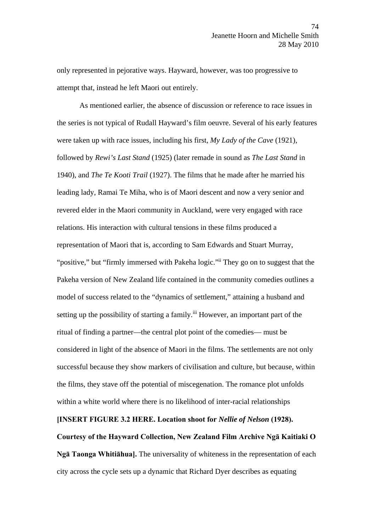only represented in pejorative ways. Hayward, however, was too progressive to attempt that, instead he left Maori out entirely.

As mentioned earlier, the absence of discussion or reference to race issues in the series is not typical of Rudall Hayward's film oeuvre. Several of his early features were taken up with race issues, including his first, *My Lady of the Cave* (1921), followed by *Rewi's Last Stand* (1925) (later remade in sound as *The Last Stand* in 1940), and *The Te Kooti Trail* (1927). The films that he made after he married his leading lady, Ramai Te Miha, who is of Maori descent and now a very senior and revered elder in the Maori community in Auckland, were very engaged with race relations. His interaction with cultural tensions in these films produced a representation of Maori that is, according to Sam Edwards and Stuart Murray, "positive," but "firmly immersed with Pakeha logic."ii They go on to suggest that the Pakeha version of New Zealand life contained in the community comedies outlines a model of success related to the "dynamics of settlement," attaining a husband and setting up the possibility of starting a family.<sup>iii</sup> However, an important part of the ritual of finding a partner—the central plot point of the comedies— must be considered in light of the absence of Maori in the films. The settlements are not only successful because they show markers of civilisation and culture, but because, within the films, they stave off the potential of miscegenation. The romance plot unfolds within a white world where there is no likelihood of inter-racial relationships

**[INSERT FIGURE 3.2 HERE. Location shoot for** *Nellie of Nelson* **(1928). Courtesy of the Hayward Collection, New Zealand Film Archive Ngā Kaitiaki O Ngā Taonga Whitiāhua].** The universality of whiteness in the representation of each city across the cycle sets up a dynamic that Richard Dyer describes as equating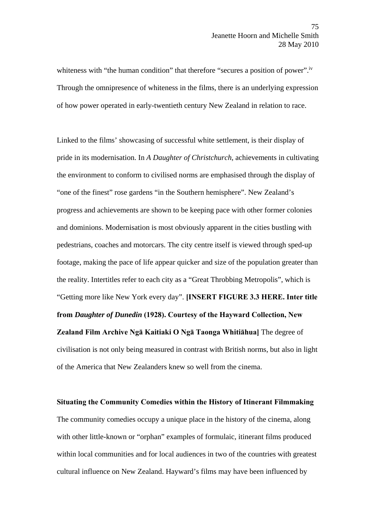whiteness with "the human condition" that therefore "secures a position of power".<sup>iv</sup> Through the omnipresence of whiteness in the films, there is an underlying expression of how power operated in early-twentieth century New Zealand in relation to race.

Linked to the films' showcasing of successful white settlement, is their display of pride in its modernisation. In *A Daughter of Christchurch*, achievements in cultivating the environment to conform to civilised norms are emphasised through the display of "one of the finest" rose gardens "in the Southern hemisphere". New Zealand's progress and achievements are shown to be keeping pace with other former colonies and dominions. Modernisation is most obviously apparent in the cities bustling with pedestrians, coaches and motorcars. The city centre itself is viewed through sped-up footage, making the pace of life appear quicker and size of the population greater than the reality. Intertitles refer to each city as a "Great Throbbing Metropolis", which is "Getting more like New York every day". **[INSERT FIGURE 3.3 HERE. Inter title from** *Daughter of Dunedin* **(1928). Courtesy of the Hayward Collection, New Zealand Film Archive Ngā Kaitiaki O Ngā Taonga Whitiāhua]** The degree of civilisation is not only being measured in contrast with British norms, but also in light of the America that New Zealanders knew so well from the cinema.

#### **Situating the Community Comedies within the History of Itinerant Filmmaking**

The community comedies occupy a unique place in the history of the cinema, along with other little-known or "orphan" examples of formulaic, itinerant films produced within local communities and for local audiences in two of the countries with greatest cultural influence on New Zealand. Hayward's films may have been influenced by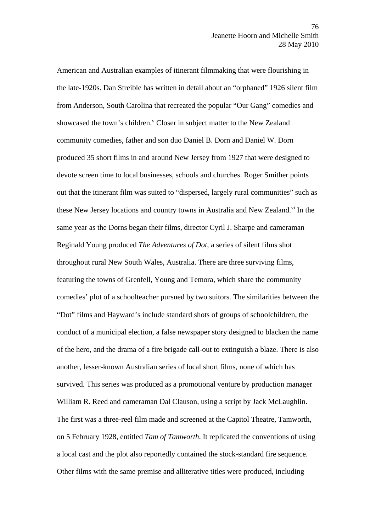American and Australian examples of itinerant filmmaking that were flourishing in the late-1920s. Dan Streible has written in detail about an "orphaned" 1926 silent film from Anderson, South Carolina that recreated the popular "Our Gang" comedies and showcased the town's children.<sup>v</sup> Closer in subject matter to the New Zealand community comedies, father and son duo Daniel B. Dorn and Daniel W. Dorn produced 35 short films in and around New Jersey from 1927 that were designed to devote screen time to local businesses, schools and churches. Roger Smither points out that the itinerant film was suited to "dispersed, largely rural communities" such as these New Jersey locations and country towns in Australia and New Zealand.<sup>vi</sup> In the same year as the Dorns began their films, director Cyril J. Sharpe and cameraman Reginald Young produced *The Adventures of Dot*, a series of silent films shot throughout rural New South Wales, Australia. There are three surviving films, featuring the towns of Grenfell, Young and Temora, which share the community comedies' plot of a schoolteacher pursued by two suitors. The similarities between the "Dot" films and Hayward's include standard shots of groups of schoolchildren, the conduct of a municipal election, a false newspaper story designed to blacken the name of the hero, and the drama of a fire brigade call-out to extinguish a blaze. There is also another, lesser-known Australian series of local short films, none of which has survived. This series was produced as a promotional venture by production manager William R. Reed and cameraman Dal Clauson, using a script by Jack McLaughlin. The first was a three-reel film made and screened at the Capitol Theatre, Tamworth, on 5 February 1928, entitled *Tam of Tamworth*. It replicated the conventions of using a local cast and the plot also reportedly contained the stock-standard fire sequence. Other films with the same premise and alliterative titles were produced, including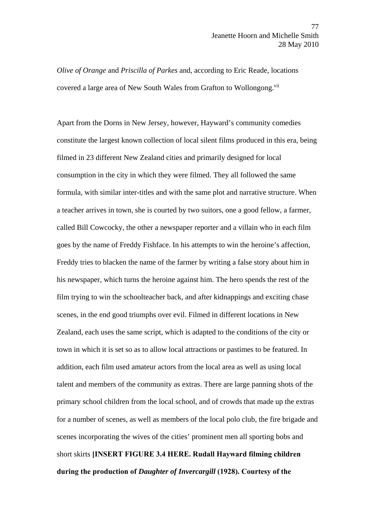*Olive of Orange* and *Priscilla of Parkes* and, according to Eric Reade, locations covered a large area of New South Wales from Grafton to Wollongong.<sup>vii</sup>

Apart from the Dorns in New Jersey, however, Hayward's community comedies constitute the largest known collection of local silent films produced in this era, being filmed in 23 different New Zealand cities and primarily designed for local consumption in the city in which they were filmed. They all followed the same formula, with similar inter-titles and with the same plot and narrative structure. When a teacher arrives in town, she is courted by two suitors, one a good fellow, a farmer, called Bill Cowcocky, the other a newspaper reporter and a villain who in each film goes by the name of Freddy Fishface. In his attempts to win the heroine's affection, Freddy tries to blacken the name of the farmer by writing a false story about him in his newspaper, which turns the heroine against him. The hero spends the rest of the film trying to win the schoolteacher back, and after kidnappings and exciting chase scenes, in the end good triumphs over evil. Filmed in different locations in New Zealand, each uses the same script, which is adapted to the conditions of the city or town in which it is set so as to allow local attractions or pastimes to be featured. In addition, each film used amateur actors from the local area as well as using local talent and members of the community as extras. There are large panning shots of the primary school children from the local school, and of crowds that made up the extras for a number of scenes, as well as members of the local polo club, the fire brigade and scenes incorporating the wives of the cities' prominent men all sporting bobs and short skirts **[INSERT FIGURE 3.4 HERE. Rudall Hayward filming children during the production of** *Daughter of Invercargill* **(1928). Courtesy of the**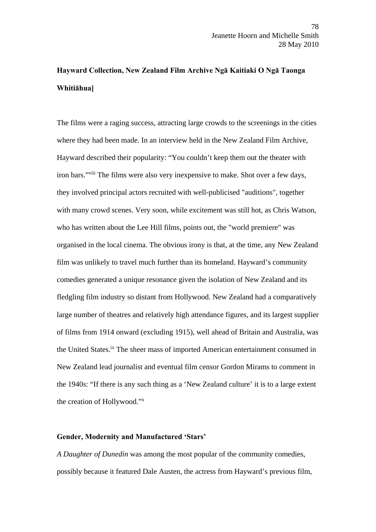# **Hayward Collection, New Zealand Film Archive Ngā Kaitiaki O Ngā Taonga Whitiāhua]**

The films were a raging success, attracting large crowds to the screenings in the cities where they had been made. In an interview held in the New Zealand Film Archive, Hayward described their popularity: "You couldn't keep them out the theater with iron bars."viii The films were also very inexpensive to make. Shot over a few days, they involved principal actors recruited with well-publicised "auditions", together with many crowd scenes. Very soon, while excitement was still hot, as Chris Watson, who has written about the Lee Hill films, points out, the "world premiere" was organised in the local cinema. The obvious irony is that, at the time, any New Zealand film was unlikely to travel much further than its homeland. Hayward's community comedies generated a unique resonance given the isolation of New Zealand and its fledgling film industry so distant from Hollywood. New Zealand had a comparatively large number of theatres and relatively high attendance figures, and its largest supplier of films from 1914 onward (excluding 1915), well ahead of Britain and Australia, was the United States.ix The sheer mass of imported American entertainment consumed in New Zealand lead journalist and eventual film censor Gordon Mirams to comment in the 1940s: "If there is any such thing as a 'New Zealand culture' it is to a large extent the creation of Hollywood."x

#### **Gender, Modernity and Manufactured 'Stars'**

*A Daughter of Dunedin* was among the most popular of the community comedies, possibly because it featured Dale Austen, the actress from Hayward's previous film,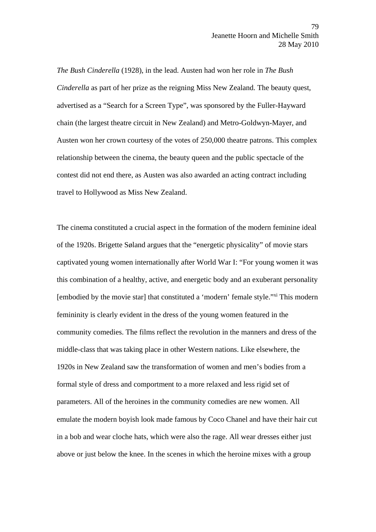*The Bush Cinderella* (1928), in the lead. Austen had won her role in *The Bush Cinderella* as part of her prize as the reigning Miss New Zealand. The beauty quest, advertised as a "Search for a Screen Type", was sponsored by the Fuller-Hayward chain (the largest theatre circuit in New Zealand) and Metro-Goldwyn-Mayer, and Austen won her crown courtesy of the votes of 250,000 theatre patrons. This complex relationship between the cinema, the beauty queen and the public spectacle of the contest did not end there, as Austen was also awarded an acting contract including travel to Hollywood as Miss New Zealand.

The cinema constituted a crucial aspect in the formation of the modern feminine ideal of the 1920s. Brigette Søland argues that the "energetic physicality" of movie stars captivated young women internationally after World War I: "For young women it was this combination of a healthy, active, and energetic body and an exuberant personality [embodied by the movie star] that constituted a 'modern' female style."xi This modern femininity is clearly evident in the dress of the young women featured in the community comedies. The films reflect the revolution in the manners and dress of the middle-class that was taking place in other Western nations. Like elsewhere, the 1920s in New Zealand saw the transformation of women and men's bodies from a formal style of dress and comportment to a more relaxed and less rigid set of parameters. All of the heroines in the community comedies are new women. All emulate the modern boyish look made famous by Coco Chanel and have their hair cut in a bob and wear cloche hats, which were also the rage. All wear dresses either just above or just below the knee. In the scenes in which the heroine mixes with a group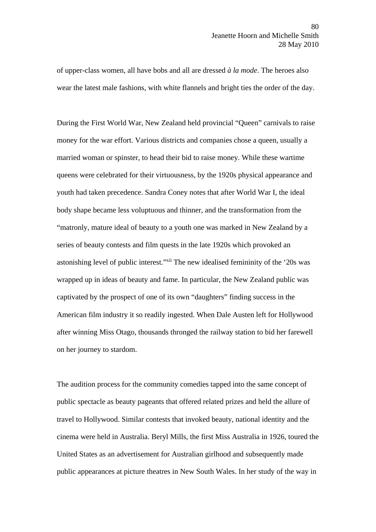of upper-class women, all have bobs and all are dressed *à la mode*. The heroes also wear the latest male fashions, with white flannels and bright ties the order of the day.

During the First World War, New Zealand held provincial "Queen" carnivals to raise money for the war effort. Various districts and companies chose a queen, usually a married woman or spinster, to head their bid to raise money. While these wartime queens were celebrated for their virtuousness, by the 1920s physical appearance and youth had taken precedence. Sandra Coney notes that after World War I, the ideal body shape became less voluptuous and thinner, and the transformation from the "matronly, mature ideal of beauty to a youth one was marked in New Zealand by a series of beauty contests and film quests in the late 1920s which provoked an astonishing level of public interest."xii The new idealised femininity of the '20s was wrapped up in ideas of beauty and fame. In particular, the New Zealand public was captivated by the prospect of one of its own "daughters" finding success in the American film industry it so readily ingested. When Dale Austen left for Hollywood after winning Miss Otago, thousands thronged the railway station to bid her farewell on her journey to stardom.

The audition process for the community comedies tapped into the same concept of public spectacle as beauty pageants that offered related prizes and held the allure of travel to Hollywood. Similar contests that invoked beauty, national identity and the cinema were held in Australia. Beryl Mills, the first Miss Australia in 1926, toured the United States as an advertisement for Australian girlhood and subsequently made public appearances at picture theatres in New South Wales. In her study of the way in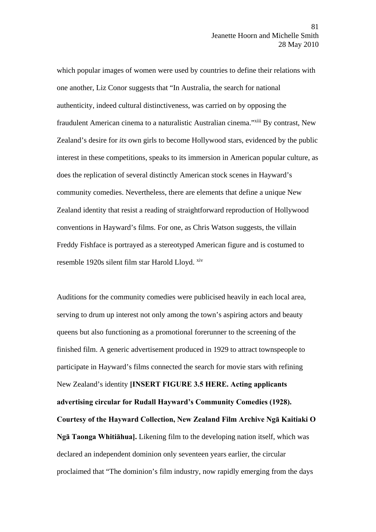which popular images of women were used by countries to define their relations with one another, Liz Conor suggests that "In Australia, the search for national authenticity, indeed cultural distinctiveness, was carried on by opposing the fraudulent American cinema to a naturalistic Australian cinema."xiii By contrast, New Zealand's desire for *its* own girls to become Hollywood stars, evidenced by the public interest in these competitions, speaks to its immersion in American popular culture, as does the replication of several distinctly American stock scenes in Hayward's community comedies. Nevertheless, there are elements that define a unique New Zealand identity that resist a reading of straightforward reproduction of Hollywood conventions in Hayward's films. For one, as Chris Watson suggests, the villain Freddy Fishface is portrayed as a stereotyped American figure and is costumed to resemble 1920s silent film star Harold Lloyd. xiv

Auditions for the community comedies were publicised heavily in each local area, serving to drum up interest not only among the town's aspiring actors and beauty queens but also functioning as a promotional forerunner to the screening of the finished film. A generic advertisement produced in 1929 to attract townspeople to participate in Hayward's films connected the search for movie stars with refining New Zealand's identity **[INSERT FIGURE 3.5 HERE. Acting applicants advertising circular for Rudall Hayward's Community Comedies (1928). Courtesy of the Hayward Collection, New Zealand Film Archive Ngā Kaitiaki O Ngā Taonga Whitiāhua].** Likening film to the developing nation itself, which was declared an independent dominion only seventeen years earlier, the circular proclaimed that "The dominion's film industry, now rapidly emerging from the days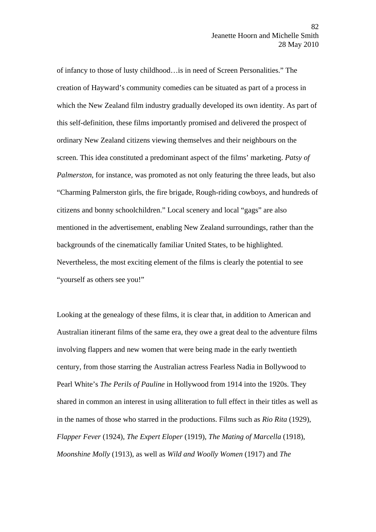of infancy to those of lusty childhood…is in need of Screen Personalities." The creation of Hayward's community comedies can be situated as part of a process in which the New Zealand film industry gradually developed its own identity. As part of this self-definition, these films importantly promised and delivered the prospect of ordinary New Zealand citizens viewing themselves and their neighbours on the screen. This idea constituted a predominant aspect of the films' marketing. *Patsy of Palmerston*, for instance, was promoted as not only featuring the three leads, but also "Charming Palmerston girls, the fire brigade, Rough-riding cowboys, and hundreds of citizens and bonny schoolchildren." Local scenery and local "gags" are also mentioned in the advertisement, enabling New Zealand surroundings, rather than the backgrounds of the cinematically familiar United States, to be highlighted. Nevertheless, the most exciting element of the films is clearly the potential to see "yourself as others see you!"

Looking at the genealogy of these films, it is clear that, in addition to American and Australian itinerant films of the same era, they owe a great deal to the adventure films involving flappers and new women that were being made in the early twentieth century, from those starring the Australian actress Fearless Nadia in Bollywood to Pearl White's *The Perils of Pauline* in Hollywood from 1914 into the 1920s. They shared in common an interest in using alliteration to full effect in their titles as well as in the names of those who starred in the productions. Films such as *Rio Rita* (1929), *Flapper Fever* (1924), *The Expert Eloper* (1919), *The Mating of Marcella* (1918), *Moonshine Molly* (1913), as well as *Wild and Woolly Women* (1917) and *The*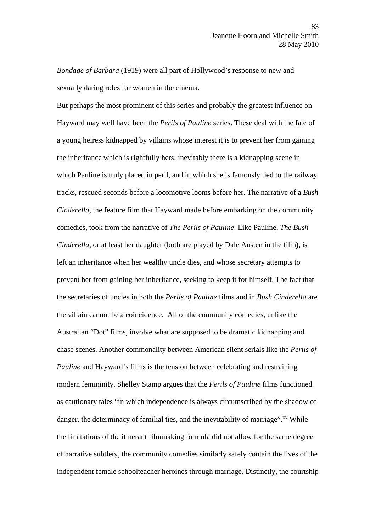*Bondage of Barbara* (1919) were all part of Hollywood's response to new and sexually daring roles for women in the cinema.

But perhaps the most prominent of this series and probably the greatest influence on Hayward may well have been the *Perils of Pauline* series. These deal with the fate of a young heiress kidnapped by villains whose interest it is to prevent her from gaining the inheritance which is rightfully hers; inevitably there is a kidnapping scene in which Pauline is truly placed in peril, and in which she is famously tied to the railway tracks, rescued seconds before a locomotive looms before her. The narrative of a *Bush Cinderella*, the feature film that Hayward made before embarking on the community comedies, took from the narrative of *The Perils of Pauline*. Like Pauline, *The Bush Cinderella*, or at least her daughter (both are played by Dale Austen in the film), is left an inheritance when her wealthy uncle dies, and whose secretary attempts to prevent her from gaining her inheritance, seeking to keep it for himself. The fact that the secretaries of uncles in both the *Perils of Pauline* films and in *Bush Cinderella* are the villain cannot be a coincidence. All of the community comedies, unlike the Australian "Dot" films, involve what are supposed to be dramatic kidnapping and chase scenes. Another commonality between American silent serials like the *Perils of Pauline* and Hayward's films is the tension between celebrating and restraining modern femininity. Shelley Stamp argues that the *Perils of Pauline* films functioned as cautionary tales "in which independence is always circumscribed by the shadow of danger, the determinacy of familial ties, and the inevitability of marriage".<sup>xv</sup> While the limitations of the itinerant filmmaking formula did not allow for the same degree of narrative subtlety, the community comedies similarly safely contain the lives of the independent female schoolteacher heroines through marriage. Distinctly, the courtship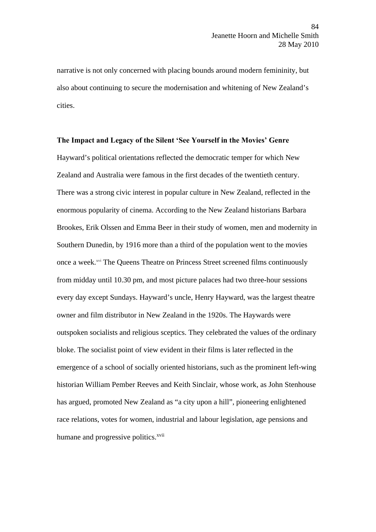narrative is not only concerned with placing bounds around modern femininity, but also about continuing to secure the modernisation and whitening of New Zealand's cities.

#### **The Impact and Legacy of the Silent 'See Yourself in the Movies' Genre**

Hayward's political orientations reflected the democratic temper for which New Zealand and Australia were famous in the first decades of the twentieth century. There was a strong civic interest in popular culture in New Zealand, reflected in the enormous popularity of cinema. According to the New Zealand historians Barbara Brookes, Erik Olssen and Emma Beer in their study of women, men and modernity in Southern Dunedin, by 1916 more than a third of the population went to the movies once a week.xvi The Queens Theatre on Princess Street screened films continuously from midday until 10.30 pm, and most picture palaces had two three-hour sessions every day except Sundays. Hayward's uncle, Henry Hayward, was the largest theatre owner and film distributor in New Zealand in the 1920s. The Haywards were outspoken socialists and religious sceptics. They celebrated the values of the ordinary bloke. The socialist point of view evident in their films is later reflected in the emergence of a school of socially oriented historians, such as the prominent left-wing historian William Pember Reeves and Keith Sinclair, whose work, as John Stenhouse has argued, promoted New Zealand as "a city upon a hill", pioneering enlightened race relations, votes for women, industrial and labour legislation, age pensions and humane and progressive politics.<sup>xvii</sup>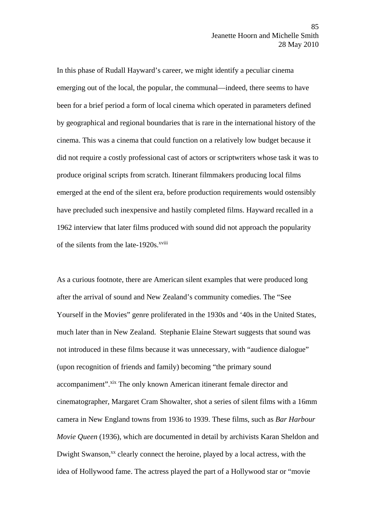In this phase of Rudall Hayward's career, we might identify a peculiar cinema emerging out of the local, the popular, the communal—indeed, there seems to have been for a brief period a form of local cinema which operated in parameters defined by geographical and regional boundaries that is rare in the international history of the cinema. This was a cinema that could function on a relatively low budget because it did not require a costly professional cast of actors or scriptwriters whose task it was to produce original scripts from scratch. Itinerant filmmakers producing local films emerged at the end of the silent era, before production requirements would ostensibly have precluded such inexpensive and hastily completed films. Hayward recalled in a 1962 interview that later films produced with sound did not approach the popularity of the silents from the late-1920s.<sup>xviii</sup>

As a curious footnote, there are American silent examples that were produced long after the arrival of sound and New Zealand's community comedies. The "See Yourself in the Movies" genre proliferated in the 1930s and '40s in the United States, much later than in New Zealand. Stephanie Elaine Stewart suggests that sound was not introduced in these films because it was unnecessary, with "audience dialogue" (upon recognition of friends and family) becoming "the primary sound accompaniment".<sup>xix</sup> The only known American itinerant female director and cinematographer, Margaret Cram Showalter, shot a series of silent films with a 16mm camera in New England towns from 1936 to 1939. These films, such as *Bar Harbour Movie Queen* (1936), which are documented in detail by archivists Karan Sheldon and Dwight Swanson,<sup>xx</sup> clearly connect the heroine, played by a local actress, with the idea of Hollywood fame. The actress played the part of a Hollywood star or "movie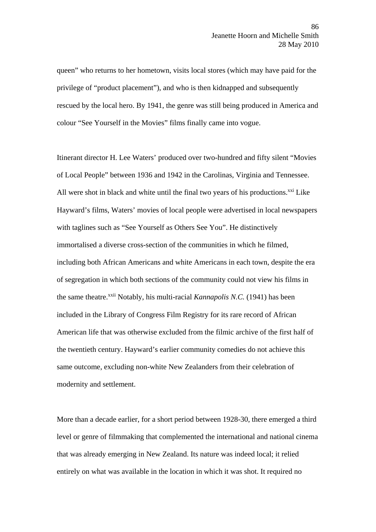queen" who returns to her hometown, visits local stores (which may have paid for the privilege of "product placement"), and who is then kidnapped and subsequently rescued by the local hero. By 1941, the genre was still being produced in America and colour "See Yourself in the Movies" films finally came into vogue.

Itinerant director H. Lee Waters' produced over two-hundred and fifty silent "Movies of Local People" between 1936 and 1942 in the Carolinas, Virginia and Tennessee. All were shot in black and white until the final two years of his productions. $^{xxi}$  Like Hayward's films, Waters' movies of local people were advertised in local newspapers with taglines such as "See Yourself as Others See You". He distinctively immortalised a diverse cross-section of the communities in which he filmed, including both African Americans and white Americans in each town, despite the era of segregation in which both sections of the community could not view his films in the same theatre.<sup>xxii</sup> Notably, his multi-racial *Kannapolis N.C.* (1941) has been included in the Library of Congress Film Registry for its rare record of African American life that was otherwise excluded from the filmic archive of the first half of the twentieth century. Hayward's earlier community comedies do not achieve this same outcome, excluding non-white New Zealanders from their celebration of modernity and settlement.

More than a decade earlier, for a short period between 1928-30, there emerged a third level or genre of filmmaking that complemented the international and national cinema that was already emerging in New Zealand. Its nature was indeed local; it relied entirely on what was available in the location in which it was shot. It required no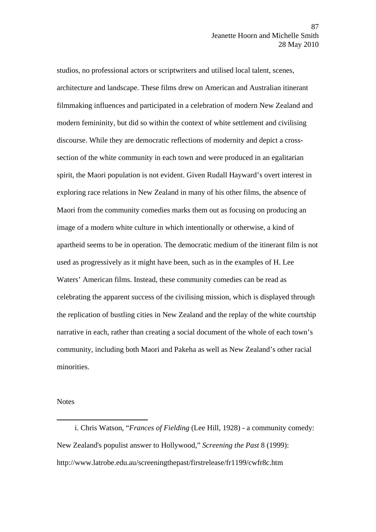studios, no professional actors or scriptwriters and utilised local talent, scenes, architecture and landscape. These films drew on American and Australian itinerant filmmaking influences and participated in a celebration of modern New Zealand and modern femininity, but did so within the context of white settlement and civilising discourse. While they are democratic reflections of modernity and depict a crosssection of the white community in each town and were produced in an egalitarian spirit, the Maori population is not evident. Given Rudall Hayward's overt interest in exploring race relations in New Zealand in many of his other films, the absence of Maori from the community comedies marks them out as focusing on producing an image of a modern white culture in which intentionally or otherwise, a kind of apartheid seems to be in operation. The democratic medium of the itinerant film is not used as progressively as it might have been, such as in the examples of H. Lee Waters' American films. Instead, these community comedies can be read as celebrating the apparent success of the civilising mission, which is displayed through the replication of bustling cities in New Zealand and the replay of the white courtship narrative in each, rather than creating a social document of the whole of each town's community, including both Maori and Pakeha as well as New Zealand's other racial minorities.

**Notes** 

1

i. Chris Watson, "*Frances of Fielding* (Lee Hill, 1928) - a community comedy: New Zealand's populist answer to Hollywood," *Screening the Past* 8 (1999): http://www.latrobe.edu.au/screeningthepast/firstrelease/fr1199/cwfr8c.htm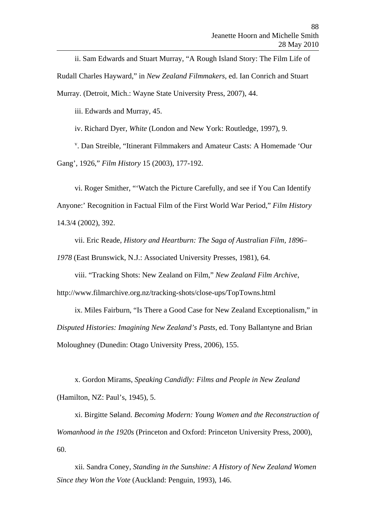ii. Sam Edwards and Stuart Murray, "A Rough Island Story: The Film Life of Rudall Charles Hayward," in *New Zealand Filmmakers*, ed. Ian Conrich and Stuart Murray. (Detroit, Mich.: Wayne State University Press, 2007), 44.

iii. Edwards and Murray, 45.

iv. Richard Dyer, *White* (London and New York: Routledge, 1997), 9.

v . Dan Streible, "Itinerant Filmmakers and Amateur Casts: A Homemade 'Our Gang', 1926," *Film History* 15 (2003), 177-192.

vi. Roger Smither, "'Watch the Picture Carefully, and see if You Can Identify Anyone:' Recognition in Factual Film of the First World War Period," *Film History* 14.3/4 (2002), 392.

vii. Eric Reade, *History and Heartburn: The Saga of Australian Film, 1896–*

*1978* (East Brunswick, N.J.: Associated University Presses, 1981), 64.

viii. "Tracking Shots: New Zealand on Film," *New Zealand Film Archive*, http://www.filmarchive.org.nz/tracking-shots/close-ups/TopTowns.html

ix. Miles Fairburn, "Is There a Good Case for New Zealand Exceptionalism," in *Disputed Histories: Imagining New Zealand's Pasts*, ed. Tony Ballantyne and Brian Moloughney (Dunedin: Otago University Press, 2006), 155.

x. Gordon Mirams, *Speaking Candidly: Films and People in New Zealand* (Hamilton, NZ: Paul's, 1945), 5.

xi. Birgitte Søland. *Becoming Modern: Young Women and the Reconstruction of Womanhood in the 1920s* (Princeton and Oxford: Princeton University Press, 2000), 60.

xii. Sandra Coney, *Standing in the Sunshine: A History of New Zealand Women Since they Won the Vote* (Auckland: Penguin, 1993), 146.